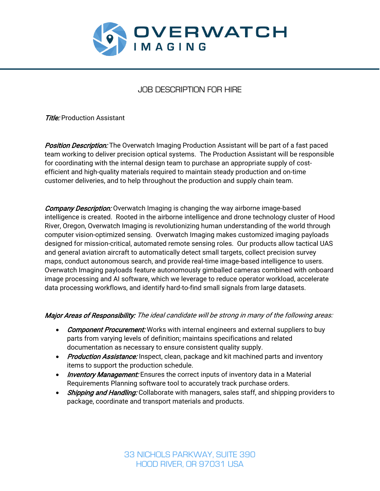

## JOB DESCRIPTION FOR HIRE

**Title:** Production Assistant

**Position Description:** The Overwatch Imaging Production Assistant will be part of a fast paced team working to deliver precision optical systems. The Production Assistant will be responsible for coordinating with the internal design team to purchase an appropriate supply of costefficient and high-quality materials required to maintain steady production and on-time customer deliveries, and to help throughout the production and supply chain team.

**Company Description:** Overwatch Imaging is changing the way airborne image-based intelligence is created. Rooted in the airborne intelligence and drone technology cluster of Hood River, Oregon, Overwatch Imaging is revolutionizing human understanding of the world through computer vision-optimized sensing. Overwatch Imaging makes customized imaging payloads designed for mission-critical, automated remote sensing roles. Our products allow tactical UAS and general aviation aircraft to automatically detect small targets, collect precision survey maps, conduct autonomous search, and provide real-time image-based intelligence to users. Overwatch Imaging payloads feature autonomously gimballed cameras combined with onboard image processing and AI software, which we leverage to reduce operator workload, accelerate data processing workflows, and identify hard-to-find small signals from large datasets.

## Major Areas of Responsibility: The ideal candidate will be strong in many of the following areas:

- Component Procurement: Works with internal engineers and external suppliers to buy parts from varying levels of definition; maintains specifications and related documentation as necessary to ensure consistent quality supply.
- Production Assistance: Inspect, clean, package and kit machined parts and inventory items to support the production schedule.
- *Inventory Management:* Ensures the correct inputs of inventory data in a Material Requirements Planning software tool to accurately track purchase orders.
- Shipping and Handling: Collaborate with managers, sales staff, and shipping providers to package, coordinate and transport materials and products.